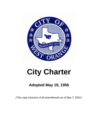

# **City Charter**

# **Adopted May 19, 1956**

*(This copy inclusive of all amendments as of May 7, 2022.)*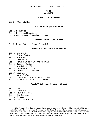# **PART I CHARTER**

# **Article I. Corporate Name**

#### Sec. 1. Corporate Name.

### **Article II. Municipal Boundaries**

- Sec. 1. Boundaries.
- Sec. 2. Extension of Boundaries.
- Sec. 3. Disannexation of Municipal Boundaries

# **Article Ill. Form of Government**

Sec. 1. [Name; Authority, Powers Generally.]

# **Article IV. Officers and Their Election**

- Sec. 1. City Officials.
- Sec. 2. Date of Election.
- Sec. 3. [Reserved.]
- Sec. 4. Official Ballot.
- Sec. 5. Terms of Office: Mayor and Alderman.
- Sec. 6. Judges of Election.
- Sec. 7. Installation of Officers.
- Sec. 8. Qualification of Officers.
- Sec. 9. Limitations of Councilmen.
- Sec.10. Vacancy.
- Sec.11. Mayor Pro Tempore.
- Sec.12. Compensation of Mayor and Councilmen.
- Sec.13. Terms of Office of Appointed Officers.

#### **Article V. Duties and Powers of Officers**

- Sec. 1. Oath.
- Sec. 2. Duties of Mayor.
- Sec. 3. Powers of Mayor.
- Sec. 4. City Secretary.
- Sec. 5. Treasurer.
- Sec. 6. City Chief of Police.

 **\*Editor's note—**The city's home rule charter was adopted at an election held on May 19, 1956, and is included herein for the convenience of the users of this Code. The original arrangement, article headings and section catch lines have been retained. Words appearing in brackets herein have been added by the editor for clarification. A uniform system of capitalization has been used. Obvious misspellings have been corrected without notation. Amended sections are designated by history notes in parentheses.

\_\_\_\_\_\_\_\_\_\_\_\_\_\_\_\_\_\_\_\_\_\_\_\_\_\_\_\_\_\_\_\_\_\_\_\_\_\_\_\_\_\_\_\_\_\_\_\_\_\_\_\_\_\_\_\_\_\_\_\_\_\_\_\_\_\_\_\_\_\_\_\_\_\_\_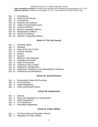#### CHARTER of the CITY OF WEST ORANGE, TEXAS

 **State constitution reference—**Charter to be consistent with constitution and general laws, Art. XI, § 5. **State law reference—**Home rule municipality, V.T.C.A., Local Government Code § 9.001 et seq.

- Sec. 7. City Attorney.
- Sec. 8. Public Works Director.
- Sec. 9. Fire Marshal.
- Sec. 10. Assessor and Collector.
- Sec. 11. Judge of the Municipal Court.
- Sec. 12. Control of Officers.
- Sec. 13. Bond for Appointive Officers.
- Sec. 14. Resignation of Officers.
- Sec. 15. Removal of Officers.
- Sec. 16. Salaries of Appointed Officers.

# **Article VI. The City Council**

- Sec. 1. Presiding Officer.
- Sec. 2. Meetings.
- Sec. 3. Rules of the City Council.
- Sec. 4. General Authority.
- Sec. 5. Powers.
- Sec. 6. Quorum.
- Sec. 7. Minimum Votes Required.
- Sec. 8. Legislative Procedure.
- Sec. 9. Style of Ordinances.
- Sec. 10. Ordinances Now in Effect.
- Sec. 11. Publication of Ordinances.
- Sec. 12. Ordinances, Pleading of, and Admissibility in Evidence.
- Sec. 13. Ordinances and Resolutions.

# **Article VII. General Powers**

- Sec. 1. Enumerated Powers Not Exclusive.
- Sec. 2. Fire Prevention.
- Sec. 3. Health Regulations.
- Sec. 4. Other Enumerated Powers

# **Article VIII. Departments**

- Sec. 1. General.
- Sec. 2. Rules and Regulations for Departments.
- Sec. 3. Police Department.
- Sec. 4. Fire Department.
- Sec. 5. Recreation Department.

# **Article IX. Public Utilities**

- Sec. 1. City Ownership and Operation Thereof.
- Sec. 2. Regulation of Public Utilities.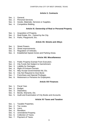# **Article X. Contracts**

- Sec. 1. General.
- Sec. 2. Personal Services.
- Sec. 3. Goods, Materials, Services or Supplies.
- Sec. 4. Competitive Bidding.

### **Article XI. Ownership of Real or Personal Property**

- Sec. 1. Acquisition of Property.
- Sec. 2. Real Estate, Etc., Owned by the City.
- Sec. 3. Parks, Playground, Etc.

#### **Article XII. Streets and Alleys**

- Sec. 1. Street Powers.
- Sec. 2. Street Improvements.
- Sec. 3. Regulation of Vehicles.
- Sec. 4. Established Speed Zones and Parking Areas.

# **Article XIII. Miscellaneous**

- Sec. 1. Public Property Exempt From Execution.
- Sec. 2. City Funds Not Subject to Garnishment.
- Sec. 3. Liability for Damages.
- Sec. 4. Right of Eminent Domain.
- Sec. 5. May Accept Governmental Aid, Etc.
- Sec. 6. City Not Required to Give Bond.
- Sec. 7. Franchises and Special Privileges.
- Sec. 8. Retirement or Pensions for Employees.

#### **Article XIV Finances**

- Sec. 1. Fiscal Year.
- Sec. 2. Budget.
- Sec. 3. Depository.
- Sec. 4. Bonds, Warrants, Etc.
- Sec. 5. Audit and Examination of City Books and Accounts.

#### **Article XV Taxes and Taxation**

- Sec. 1. Taxable Properties.
- Sec. 2. Tax Levies.
- Sec. 3. Liens.
- Sec. 4. Rendition.
- Sec. 5. Unrendered Property.
- Sec. 6. Collection of Taxes.
- Sec. 7. Payment of Taxes.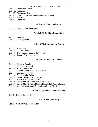- Sec. 8. Delinquent Taxes.
- Sec. 9. Reserved.
- Sec. 10. Occupation Tax.
- Sec. 11. Contract for Collection of Delinquent [Taxes].
- Sec. 12. Reserved.
- Sec. 13. Reserved.

# **Article XVI. Municipal Court**

Sec. 1. Creation and Jurisdiction.

# **Article XVII. Building Regulations**

- Sec. 1. General.
- Sec. 2. Building Lines.

# **Article XVIII. Planning and Zoning**

- Sec. 1. In General.
- Sec. 2. Zoning Ordinance.
- Sec. 3. Planning and Zoning Commission.
- Sec. 4. Board of Adjustment.

# **Article XIX. Recall of Officers**

- Sec. 1. Scope of Recall.
- Sec. 2. Petitions for Recall.
- Sec. 3. Form of Recall Petition.
- Sec. 4. Various Papers Constituting Petition.
- Sec. 5. Certificate to Petition.
- Sec. 6. Election to be Called.
- Sec. 7. Recall Election Form of Ballot.
- Sec. 8. Recall, Restrictions Thereon.
- Sec. 9. Failure of City Council to Call an Election.
- Sec.10. One or More Officers May Be Recalled at Same Election.
- Sec.11. Vacancies in Council Due to Recall, How Filled.

# **Article XX. [Effect of Powers Granted]**

Sec. 1. Saving Clause, Etc.

# **Article XXI. [Election]**

Sec. 1. Vote on Proposed Charter.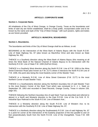Art. I. § 1

# **ARTICLE I. CORPORATE NAME**

#### **Section 1. Corporate Name.**

All inhabitants of the City of West Orange, in Orange County, Texas as the boundaries and limits of said city are herein established, shall be a body politic, incorporated under and to be known by the name and style of the "City of West Orange," with such powers, rights and duties as are herein provided.

#### **ARTICLE II. MUNICIPAL BOUNDARIES**

#### **Section 1. Boundaries.**

The boundaries and limits of the City of West Orange shall be as follows, to-wit:

BEGINNING at the Intersection of the West Bank of Adams Bayou with the South R.O.W. Line of State Highway No. 87 (also known as MacArthur Drive and also known as State Highway No. 90);

THENCE in a Southerly direction along the West Bank of Adams Bayou (this meaning at all times the West Bank of the Natural Channel of Adams Bayou) to its intersection with the Northerly R.O.W. Line of State F.M. 1006 (DuPont Drive);

THENCE in a Southerly West direction along the North R.O.W. Line of F.M. 1006 to the Alma Street Extension Road (also known as F.M. 2177) where it intersects the North R.O.W Line of F.M. 1006, this point also being the most Easterly corner of the Skeeler Tract;

THENCE in a Westerly R.O.W. Line of Alma Street Extension (F.M. 2177) to the most Northern Corner of said Skeeler Tract;

THENCE in a Southwesterly direction along the Northern boundary line of said Skeeler Tract to the most Eastern Corner of the Stark Tract which was conveyed to H. J. L. Stark on September 29, 1953 and recorded in Deed Records, Orange County, Texas in volume 159, page 331;

THENCE following the Northern boundary line of said Stark Tract (as described and referred to above) in a North and Westerly direction to the East R.O.W. Line of the O.& N.W. R. R. Industrial Spur Railroad to the South R.O.W. Line of Western Ave.;

THENCE in a Westerly direction along the South R.O.W. Line of Western Ave. to its intersection with the Southerly R.O.W. Line of State Highway No. 87;

THENCE in a Northerly direction along the Southeasterly R.O.W. Line of said Highway No. 87 to a point for corner at the intersection of the Easterly projection of the line parallel to and 10 feet perpendicularly South from the North R.O.W. Line of the Orangefield, Texas F.M. 409 Road;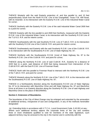Art. II. § 1

THENCE Westerly with the said Easterly projection of, and line parallel to, and 10 feet perpendicularly South from the North R.O.W. Line of the Orangefield, Texas F.M. 409 Road, with its meander, to its intersection with the Easterly R.O.W. Line of the Industrial Water Canal for corner;

THENCE Northerly with the Easterly R.O.W. Line of the said Industrial Water Canal 2600 feet to a point for corner;

THENCE Easterly with the line parallel to and 2600 feet Northerly, measured with the Easterly R.O.W. Line of the Industrial Water Canal, to its intersection with the Southerly R.O.W Line of the T.& N.O. R.R. and for interim corner;

THENCE Southeasterly with the said Southerly R.O.W. Line of T.&N.O. R.R. to its intersection with the Southerly R.O.W Line of the O.&N.W. R.R. and point for interim corner;

THENCE Southeasterly and Easterly with the said Southerly R.O.W. Line of the O.&N.W. R.R. to its intersection with the Southeasterly R.O.W. Line of State Highway No. 87;

THENCE Northerly with the Southeasterly R.O.W. [Line] of State Highway No. 87 to the Northerly R.O.W. Line of the O.&N.W. R.R. and point for corner;

THENCE along the Northerly R.O.W. Line of said O.&N.W. R.R., Easterly for a distance of 3220 feet to a point, said distance of 3220 feet being measured from intersection of the O.&N.W R.R. with the East R.O.W. Line of Foreman Road;

THENCE North with line parallel to Foreman Road to intersect with the Northerly R.O.W. Line of the T.&N.O. R.R. and point for corner;

THENCE Westerly along the Northerly R.O.W. Line of the T.&N.O. R.R. to the intersection with the Southeasterly R.O.W. Line of State Highway No. 87;

THENCE in a Northeasterly direction along the Southeasterly R.O.W Line of State Highway No. 87 to its intersection with MacArthur Drive and still State Highway No. 87 and MacArthur Drive at all times in an Easterly direction along the Southerly R.O.W. Line of said Highway and MacArthur Drive to the place of BEGINNING.

# **Section 2. Extension of Boundaries.**

The boundaries of the City of West Orange may be enlarged and extended by the annexation of additional territory, irrespective of size and configuration, in any of the methods hereinafter designated:

(a) Extending limits in accordance with V.T.C.A., Local Government Code, § 43.001 et seq.: Where such additional territory adjoins the corporate limits of the city and contains three or more inhabitants qualified to vote for members of the state legislature, such adjacent territory may be annexed to the city in the manner and in conformity with the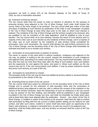procedure set forth in article 974 of the Revised Statutes of the State of Texas of 1925, as now or hereinafter amended.

#### (b) Extension of limits by election:

The city council shall have the power to order an election or elections for the purpose of annexing territory lying adjacent to the City of West Orange. Such order shall include the survey notes of the area sought to be annexed. The city council shall give notice of the date and place of balloting at such election by publication of the order in any newspaper circulated in the City of West Orange at least thirty days prior to the date on which such election is ordered. The residents of the City of West Orange and the territory sought to be annexed, who are qualified to vote for members of the state legislature, shall be qualified to vote at such election. The city council shall, at its next meeting, canvass the return of such election and if a majority of the votes cast at such election by the residents of West Orange, and if a majority of the votes cast at such election by the residents of said territory being considered for annexation, favor such annexation, the council shall declare the said territory annexed to the City of West Orange, and the boundary limits of the City of West Orange shall hereinafter be extended and fixed so as to include such territory.

#### (c) Annexation of unoccupied lands on petition of owners:

The owner or owners of any land which is without residents, contiguous and adjacent to the city may, by petition in writing to the city council, request the annexation of such contiguous and adjacent land, describing it by metes and bounds. The city council shall thereafter, and not less than five and not more than thirty days after the filing of such petition, hear such petition and the arguments for and against the same, and grant or refuse such petition as the city council may see fit. If the city council grants such petition, it may by proper ordinance receive and annex such territory as a part of the city.

#### (d) Annexation by amendment to charter:

The boundary limits of the city may be fixed and additional territory added or annexed thereto by amendment to the charter of the city.

#### (e) Extending limits by action of the city council:

The city council shall have power by ordinance to fix the boundary limits of the City of West Orange and to provide for the extension of said boundary limits and the annexation of additional territory lying adjacent to said city, with or without the consent of the residents or the owners of the territory annexed. Upon the introduction of such an ordinance in the city council it may be passed on the first reading, and thereafter shall be published in any newspaper circulated in the City of West Orange one time, and shall not thereafter be finally acted upon until at least thirty days have elapsed after the publication thereof. Any citizen of the City of West Orange, or resident or owner of the territory to be annexed, shall have the right to contest said annexation by filing with the city council a written petition setting out his reasons for said contest, and after such citizen, resident or owner shall have been given an opportunity to be heard, said ordinance, in original or amended form, as said city council in its judgment may determine, shall be finally acted upon, and any territory so annexed shall be a part of the City of West Orange.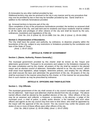(f) Annexation by any other method provided by law:

Additional territory may also be annexed to the city in any manner and by any procedure that may now be provided by law or that may be hereafter provided by law. Same shall be in addition to the methods hereinabove provided.

(g) Annexed territory to become part of the city:

Upon completion of any of the procedures hereinabove provided, the territory so annexed shall become a part of the city, and said land and its residents and future residents shall be entitled to all the rights and privileges of other citizens of the city and shall be bound by the acts, ordinances, resolutions and regulations of the city.

*(Ord. No. 214, § 1(Amd. 8), 03-14-1988; Ord. No. 266, § 1(Amd. 1), 05-04-1996)*

# **Section 3. Disannexation of Boundaries.**

The City shall have the power and authority, by ordinance, to disannex property within the boundaries of the city, subject to any restrictions or limitations provided by the constitution and laws of the State of Texas.

*(Amd. 1; 05-07-2022)*

# **ARTICLE III. FORM OF GOVERNMENT**

# **Section 1. [Name; Authority, Powers Generally.]**

The municipal government provided by this charter shall be known as the "mayor and aldermanic government." Pursuant to its provisions and subject to the limitations imposed by the state constitution and by this charter, all powers of the city shall be vested in the elected mayor and an elective council of aldermen, hereinafter referred to as "the city council," which shall enact local legislation, adopt budgets, determine policies, and employ the city officials and shall execute the laws and administer the government of the city. All powers of the city shall be exercised in the manner prescribed by this charter, or if the manner be not prescribed, then in such manner as may be prescribed by ordinance.

# **ARTICLE IV. OFFICERS AND THEIR ELECTION**

#### **Section 1. City Officials.**

The municipal government of the city shall consist of a city council composed of a mayor and five (5) aldermen. Said mayor and aldermen shall be elected from the city at large. The above named officers shall be elected by the qualified electors of the city. Other officers of the city may be an assessor and collector, a treasurer, a secretary, a city attorney, a judge of the municipal court, a chief of police, a public works director, a fire marshal, and such other officers and agents as the city council may from time to time direct, who shall be appointed by the mayor with the approval of the city council. The city council may confer the powers and duties of one or more of these offices upon other officers of the city.

*(Ord. No. 266) § 1(Amd. 2), 05-04-1996); (Amd. 1; 05-07-2005)*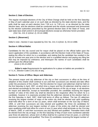### **Section 2. Date of Election.**

The regular municipal elections of the City of West Orange shall be held on the first Saturday in May of each calendar year or on such date as directed by the state election laws, and the polls shall be open at each election from 7:00 a.m. to 7:00 p.m. or as directed by the state election laws, and the elections shall be conducted and the results canvassed and announced by the election authorities prescribed by the general election laws of the State of Texas, and said state laws shall control in all municipal elections except as otherwise herein provided.

*(Ord. No. 214, § 1(Amd. 2), 03-14-1988)*

# **Section 3. [Reserved.]**

Editor's note—Section 3 was repealed by Ord. No. 214, § 1(Amd. 3), 03-14-1988.

# **Section 4. Official Ballot.**

Candidates for the city council and for mayor shall be placed on the official ballot upon the sworn application of the candidate, in accordance with the Election Code of the State of Texas, stating the office for which he is a candidate, and stating that the candidate has resided in the city for at least one year prior to the election and is a qualified elector and paying any filing fee that may be imposed by ordinance, and thereupon the names of such candidates shall be printed upon the official ballot.

*(Amd.1) 05-10-2000*

 **Editor's note**-Requirements for applications for a place on ballots are provided in V.T.C.A., Election Code § 141.031 et seq.

#### **Section 5. Terms of Office: Mayor and Alderman.**

The present mayor and city alderman of the city or their successors in office at the time of adoption of this charter shall continue to act until their successors are elected and take office under the provisions of this charter. The first election for mayor and alderman shall be held on the first Saturday in April, 1957, at which time a mayor and five (5) aldermen shall be voted on and elected accordingly by the vote of the qualified electors of the city at large. In all elections for mayor and alderman, except as hereinafter provided, the candidate receiving the largest number of votes of the entire city shall be elected to the respective office for which he is a candidate, however it is expressly provided that the alderman elected at the election held on the first Saturday in April, 1957, shall hold terms of office as follows: The two (2) aldermen receiving the largest number of votes of the entire city shall be elected and upon qualifying shall hold office for a term of two (2) years, which shall terminate on the 31st day of March, 1959, or until their successors are duly elected and qualified; the three (3) candidates for alderman receiving the next largest number of votes of the entire city shall be elected and upon qualifying shall hold office for a term of one (1) year which shall terminate on the 31st day of March, 1958, or until their successors are duly elected and qualified. Thereafter there shall be elected from the city at large, on the first Saturday of May of each even numbered calendar year three (3) aldermen, whose term of office shall be for a period of two (2) years, or until their successors are elected and qualified. The three (3) candidates receiving the largest number of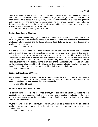votes shall be declared elected; on the first Saturday in May of each odd numbered calendar year there shall be elected from the city at large a mayor and two (2) aldermen, whose term of office shall be for a period of two (2) years, or until their successors are elected and qualified, and in this election the candidate for mayor receiving the largest number of votes shall be declared elected mayor, and the two (2) candidates for alderman receiving the largest number of votes shall be declared elected aldermen.

 *(Ord. No. 266, § 1(Amd. 3), 05-04-1996)*

# **Section 6. Judges of Election.**

The city council shall be the judge of the election and qualification of its own members and of the mayor, subject to review of the courts in the case of contest. The city council shall canvass all election returns pursuant to the Texas Election Code, followed by an official declaration of results of said election.

*(Amd. B) 05-05-2018*

If, in any election, the vote which shall result in a tie for the office sought by the candidates, and as a result of such tie vote such office cannot be filled under the provisions of this charter, it shall be the duty of the mayor to order a second election for the office or offices if the candidates have received a tie vote; said election shall be held in accordance with the Election Code of the State of Texas. In said second election, only those can run who were tied for the office sought in the first election. In the event one of the candidates who received a tie vote, for the particular office sought, shall withdraw or die, a second election shall not be held for that office, and the other candidate for such office shall be declared elected.

*(Amd. 2) 05-10-2000*

#### **Section 7. Installation of Officers.**

Newly elected officers will take office in accordance with the Election Code of the State of Texas. If any officer fails to qualify within thirty (30) days of his election, that office will be deemed vacant and a new election held to fill that office.

*(Amd. 3) 05-10-2000*

#### **Section 8. Qualification of Officers.**

No person shall be eligible to the office of mayor or the office of alderman unless he is a qualified elector and has resided in the city one year, next preceding the election. If the mayor or any alderman moves from the city during the term of office for which he is elected, his office shall be deemed vacant.

Anyone running for the office of mayor or alderman will not be qualified to run for said office if he/she is delinquent in payment to the city, whether it be property tax or any other indebtedness.

*(Amd. 2) 05-07-2005*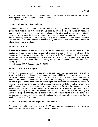Anyone convicted of a violation of the penal laws of the State of Texas Class B or greater shall be ineligible to run for the office of mayor or alderman.

*(Amd. 3) 05-07-2005*

# **Section 9. Limitations of Councilmen.**

No member of the city council shall hold any other employment or office under the city government while he is a member of said council, unless herein otherwise provided. No member of the city council, or any other officer of the city, shall be directly or indirectly interested in any work, business or contract, the expense, price or consideration of which is paid from the city treasury, nor be the surety of any person having a contract, work or business with said city, for the performance of which security may be required, nor be the surety of the official bond of any city officer.

# **Section 10. Vacancy.**

In case of a vacancy in the office of mayor or alderman, the [city] council shall order an election to fill the vacancy if the vacancy will exceed one year of the unexpired term. If the vacancy will be less than one year of the unexpired term, the [city] council shall fill the vacancy by appointment. If the vacancy will be less than 90 days of the unexpired term, the [city] council may, at its discretion, fill the vacancy by appointment or leave the vacancy unfilled until the next election.

*(Ord. No. 266, § 1(Amd. 4), 05-04-1996)*

# **Section 11. Mayor Pro Tempore.**

At the first meeting of each new council, or as soon thereafter as practicable, one of the aldermen shall be elected mayor pro tempore, who shall hold his office for one year. In case of the failure, inability or refusal of the mayor to act, the mayor pro tempore shall perform the duties of the mayor. When serving as mayor as the presiding officer at city council meetings, the mayor pro tempore shall have the same rights and privileges as provided by article VI, section 1, of this charter. In the case of absence from the city or failure, inability or refusal of both the mayor and mayor pro tempore to perform the duties of mayor, the city council may, at a council meeting, by a vote of three affirmative votes, elect an acting mayor pro tempore, who shall serve as mayor with all of the powers and privileges of mayor until either the mayor or mayor pro tempore shall resume his duties of office. When such acting mayor pro tempore is serving as the presiding officer at council meetings he shall have all the powers set forth in article VI, section 1, of this charter.

# **Section 12. Compensation of Mayor and Councilmen.**

The mayor and aldermen shall receive \$1.00 per year as compensation and may be reimbursed for their expenses incurred in their official duties.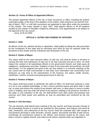# **Section 13. Terms of Office of Appointed Officers.**

The present appointed officers of the city, or their successors in office, including the present corporation judge, at the time of the adoption of this charter, shall continue to act until the 31st day of March, 1957, or until their successors are appointed to take office under the provisions of this charter. The mayor elected in April, 1957, shall appoint officers to fill all positions created by this charter or hereafter created by ordinances, such appointments to be subject to the approval of the city council.

*(Amd. 4) 05-10-2000*

#### **ARTICLE V. DUTIES AND POWERS OF OFFICERS**

#### **Section 1. Oath.**

All officers of the city, whether elective or appointive, shall qualify by taking the oath prescribed by the constitution of this state and by executing such bond as may be required under the provisions of this charter and the ordinances and resolutions of the city.

#### **Section 2. Duties of Mayor.**

The mayor shall be the chief executive officer of said city, and shall be active at all times in causing the laws and ordinances of said city to be duly executed and put in force. He shall inspect the conduct of all subordinate officers in the government thereof, and shall cause all negligence, carelessness and other violations of duty to be prosecuted and punished. He shall have power, if in his judgment the good of the city may require it, to summon meetings of the city council and he shall communicate to that body such information and recommend such measures as may tend to the improvement of the finances, the police, health security, cleanliness, comfort, ornament and good government of said city.

#### **Section 3. Powers of Mayor.**

The mayor shall have power to administer the oaths of office. He shall have authority in case of a riot or any unlawful assemblage, or with a view to preserve peace and good order in said city, to order and enforce the closing of any theatre, ball room, or other place or resort or public room or building, and may order the arrest of any persons violating in his presence, the laws of this state, or any ordinance of the city. He shall perform such other duties and possess and exercise such other power and authority as may be prescribed and conferred by the city council.

#### **Section 4. City Secretary.**

The city secretary shall attend every meeting of the city council, and keep accurate minutes of the proceedings thereof in a book to be provided for that purpose, and engross and enroll all laws, resolutions, and ordinances of the city council, keep the corporate seal, take charge of and preserve and keep in order all books, records, papers, documents and files of said council, countersign all commissions issued to city officers, and licenses issued by the mayor, and keep a record or register thereof, and make out all notices required under any regulation or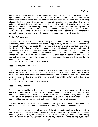ordinances of the city. He shall be the general accountant of the city, and shall keep in books regular accounts of the receipts and disbursements for the city, and separately, under proper heads, each cause of receipt and disbursement, and also accounts with each person, including officers who have money transactions with the city, crediting accounts allowed by proper authority and specifying any particular transaction to which such entries apply. He shall keep a register of bonds and bills issued by the city, and all evidence of debt due and payable to it, noting the particulars thereof, and all facts connected therewith, as they occur. He shall carefully keep all contracts made by the city council; and he shall perform all such other duties as may be required of him by law, ordinance, resolution or order of the city council.

# **Section 5. Treasurer.**

The treasurer shall give bond in favor of the city in such amount, and in such form as the city council may require, with sufficient security to be approved by the city council, conditioned for the faithful discharge of his duties. He shall receive and surely keep all moneys belonging to the city, and make all payments from the same upon authorization of the mayor, or city council. He shall render a full and correct statement of his receipts and payments to the city council, at their first regular meeting in every quarter and whensoever, at other times, he may be required by them so to do. On the first day of each fiscal year or as soon thereafter, he shall publish a financial statement showing the amount of receipts, expenditures, and balances for the preceding twelve months.

*(Ord. No. 266, § 1(Amd. 5), 05-04-1996)*

# **Section 6. City Chief of Police.**

The city chief of police shall be in charge of the police department and shall have all of the powers and duties as is provided for city marshals in V.T.C.A., Local Government Code, § 341.021 and such other duties and responsibilities as the city council from time to time may assign to him. The chief of police shall be paid a salary as shall be determined and approved by the city council.

*(Ord. No. 266, § 1(Amd. 6), 05-04-1996*)

# **Section 7. City Attorney.**

The city attorney shall be the legal adviser and counsel to the mayor, city council, department heads, and city boards and commissions. He shall prepare or approve all city ordinances and resolutions and shall attend all meetings of the city council and shall be the city prosecutor. He shall be employed either on a part time or full time basis and shall have such other duties and responsibilities as may from time to time be assigned to him by the city council.

With the consent and approval of the city council the city attorney shall have the authority to appoint such assistants as may be necessary to properly carry out the duties of his office.

The mayor, with the consent and approval of the city council, shall have the authority to employ special counsel to represent the city in collecting taxes, or to represent the city in legal proceedings filed by or against the city and in any extraordinary legal matters. Where the city attorney is employed on only a part time basis, he may by special contract be employed by the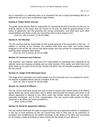Art. V. § 7

city to represent it in collecting taxes or to represent the city in legal proceedings filed by or against the city and in any extraordinary legal matters.

#### **Section 8. Public Works Director.**

The public works director shall be responsible for overseeing all work to be done by the city; he shall be adviser to the mayor and city council on all work; he shall be general adviser to the board of adjustment and the planning and zoning commission, and shall have such other responsibilities and duties as the city council from time to time assign to him.

*(Ord. No. 266, § 1(Amd. 7), 05-04-1996)*

#### **Section 9. Fire Marshal.**

The fire marshal shall be responsible for the overall planning of fire prevention in the city. In addition to serving as fire marshal, the marshal shall have such other and further duties assigned to him as the city council may deem proper and may provide for compensation to be paid him when assigned other duties.

*(Ord. No. 214, § 1(Amd. 5), 03-14-1988)*

#### **Section 10. Assessor and Collector.**

The assessor and collector shall have the responsibility of assessing and collecting all ad valorem taxes and keeping complete and accurate records of the same, and shall have such other duties as are given to him by this charter and which may be hereafter assigned to him by the city council.

#### **Section 11. Judge of the Municipal Court.**

The judge of the municipal court shall preside over the municipal court as provided for herein. He shall be a qualified elector and be a resident of the city.

 *(Ord. No. 266, § 1(Amd. 8), 05-04-1996)*

#### **Section 12. Control of Officers.**

The city council shall have power from time to time to require other further duties of all officers whose duties are herein prescribed, and to define and prescribe the powers and duties of all officers appointed or elected to any office under this charter whose duties are not herein especially mentioned, and fix their compensation. The city council shall provide for filling vacancies in all offices not herein provided for.

*(Amd. 5) 05-10-2000*

#### **Section 13. Bond for Appointive Officers.**

The city council shall have the right to require bond from any appointive officers or employees of the city in such amounts as the city council from time to time may fix by ordinance or resolution and conditioned by the faithful discharge of the duties of his office and accounting for all moneys, credits and things of value coming into the hands of such officers or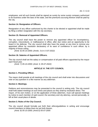employees; and all such bonds shall be signed as surety by some surety company authorized to do business under the laws of the state, and the premiums accruing thereon shall be paid by the city.

### **Section 14. Resignation of Officers.**

Resignation of any officer authorized by this charter to be elected or appointed shall be made by filing a written resignation with the city secretary.

#### **Section 15. Removal of Appointed Officers.**

The city council shall have the power to remove any appointed officer for incompetency, corruption, misconducts, or malfeasance in office, after due notice and an opportunity to be heard in his defense. The city council shall also have the power at any time to remove any appointed officer by resolution declaratory of its want of confidence in such officer; by a majority of those voting.

*(Amd. 6) 05-10-2000; (Amds. 3 & 4; 5-07-2022)*

# **Section 16. Salaries of Appointed Officers.**

The city council shall set the salary or compensation of all paid officers appointed by the mayor each fiscal year.

*(Amd. 7) 05-10-2000; (Amd. 5; 05-07-2022)*

# **ARTICLE VI. THE CITY COUNCIL**

#### **Section 1. Presiding Officer.**

The mayor shall preside at all meetings of the city council and shall enter into discussions and vote on any question in a like manner as any alderman.

#### **Section 2. Meetings.**

Petitions and remonstrances may be presented to the council in writing only. The city council shall hold stated meetings at such times and places as they shall by resolution direct. The mayor, of his own motion, or on the application of three aldermen, must call special meetings by notice to each member of said council, the secretary and city attorney, served personally, or left at their usual place of abode.

#### **Section 3. Rules of the City Council.**

The city council should formally put forth their ethics/guidelines in writing and encourage council members to follow them as set forth therein.

*(Amd. 8) 05-10-2000; (Amd.5) 05-07-2005*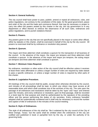#### **Section 4. General Authority.**

The city council shall have power to pass, publish, amend or repeal all ordinances, rules, and police regulations, not contrary to the constitution of this state, for the good government, peace and order of the city and the trade and commerce thereof, that may be necessary or proper to carry into effect the powers vested by this charter in the city, the city government or in any department or office thereof; to enforce the observance of all such rules, ordinances and police regulations, and to punish violations thereof.

#### **Section 5. Powers.**

Any powers given to the city that are not specifically placed in the mayor or some other official, either by statutes or this charter, shall be exercised in behalf of the city by the city council. All powers so exercised shall be by ordinance or resolution duly passed.

#### **Section 6. Quorum.**

The mayor and three aldermen shall constitute a quorum for the transaction of all business of the council. In the absence of the mayor, the mayor pro tempore and three aldermen shall constitute a quorum. In the absence of the mayor and mayor pro tempore, the acting mayor pro tempore and three aldermen shall constitute a quorum.

#### **Section 7. Minimum Votes Required.**

No ordinance, resolution or other action of the city council shall be effective unless it receives at least three votes affirmative or unless a larger number of votes are required by state statute to pass a specific ordinance, or unless a larger number of votes is required by other parts of this charter.

#### **Section 8. Legislative Procedure.**

All meetings of the city council shall be public, except when otherwise directed by the council, and minutes of all proceedings shall be kept, to which any citizen may have access at all reasonable times and which shall constitute one of the archives of the city. The vote upon the passage of all ordinances and resolutions shall be taken by the "ayes" and "nays" and entered upon the minutes, and every ordinance or resolution, upon its final passage, shall be recorded in a book kept for that purpose and shall be authenticated by the signature of the presiding officer and the person performing the duties of city secretary. Every ordinance hereafter adopted shall be systematically numbered and it shall only be necessary to record the number and caption of title of ordinances in the minutes of the council meeting.

#### **Section 9. Style of Ordinances.**

The style of all ordinances of the city shall be: "Be it ordained by the city council of the City of West Orange, Texas," but the same shall be omitted when the ordinances of the city are codified and published in book or pamphlet form by the city, or under the authority of its governing body.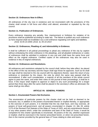#### **Section 10. Ordinances Now In Effect.**

All ordinances of the city now in existence and not inconsistent with the provisions of this charter shall remain in full force and effect until altered, amended or repealed by the city council.

#### **Section 11. Publication of Ordinances.**

Every ordinance imposing any penalty, fine, imprisonment or forfeiture for violation of its provisions shall be published according to state law. The failure to publish any such ordinance as here required shall not invalidate it as a civil ordinance regulating civil rights and liabilities. *(Amd. 9) 05-10-2000; (Amd. 3), 05-10-2014*

#### **Section 12. Ordinances, Pleading of, and Admissibility in Evidence.**

It shall be sufficient in all judicial proceedings to plead any ordinance of the city by caption without embodying the entire ordinance in the pleadings, and all pleaded ordinances or codes of ordinances shall be admitted in evidence in any suit and shall have the same force and effect as the original ordinance. Certified copies of the ordinances may also be used in evidence in lieu of original ordinances.

#### **Section 13. Ordinances and Resolutions.**

All ordinances and resolutions adopted by the council shall, before they take effect, be placed in the office of the city secretary and the mayor shall sign those he approves. Such as he shall not sign shall be returned to the city council with his objections thereto. Upon the return of any ordinance or resolution by the mayor, the vote by which the same was passed shall be reconsidered. If after such consideration, a majority of all the members of the whole council agree to pass the same, and enter their votes on the journal of their proceedings, it shall be in force. If the mayor shall neglect to approve or object to any such proceedings for a longer period than three days after the same shall be placed in the secretary's office as aforesaid, the same shall go into effect.

#### **ARTICLE VII. GENERAL POWERS**

#### **Section 1. Enumerated Powers Not Exclusive.**

The enumeration of particular powers by this charter shall not be held or deemed to be exclusive, but, in addition to the powers enumerated therein or implied thereby, or appropriate to the exercise of such powers, it is intended that the city shall have, and may exercise, all powers of local self-government, and all powers enumerated in chapter 13, title 28, article 1175 of the Revised Civil Statutes of the State of Texas of 1925, and any amendments thereof, or any other powers which, under the constitution and laws of the State of Texas, it would be competent for this charter specifically to enumerate. All powers of the city, whether expressed or implied, shall be exercised in the manner prescribed herein, or when not prescribed herein, then in the manner provided by the general laws of Texas relating to cities and towns.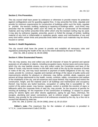#### **Section 2. Fire Prevention.**

The city council shall have power by ordinance or otherwise to provide means for protection against conflagrations and for guarding against fires. It may prescribe fire limits, stipulate and provide for minimum requirements for construction of buildings within such fire limits, regulate or prohibit the erection, building, replacing or repairing of buildings within such limits; may prescribe that the buildings within such fire limits be made or constructed of fire-resistant material; and may further prescribe limits within which only fire-resistant roofing may be used; it may also by ordinance regulate, prescribe, govern or forbid the storage of lumber, building material of any kind or inflammable or explosive goods, wares and merchandise of any and every kind within certain limits and prescribe limits within which such materials may be stored, housed or carried.

#### **Section 3. Health Regulations.**

The city council shall have the power to provide and establish all necessary rules and regulations protecting the health of the city to the extent allowed by the laws of Texas.

 *(Ord. No. 266, § 1(Amd. 9), 05-04-1996)*

#### **Section 4. Other Enumerated Powers.**

The city may assess, levy and collect any and all character of taxes for general and special purposes on all subjects or objects, including occupation taxes, license taxes and excise taxes, which the city may lawfully assess, levy and collect under the Constitution and laws of the State of Texas; may borrow money on the faith and credit of the city by the issuance of bonds or notes of the city, and may issue warrants in payment of lawful obligations of the city; may create, provide for, construct, regulate and maintain all things of the nature of public works and improvements whether for pleasure or otherwise; may define, prohibit, abate, suppress and prevent all things detrimental to the health, morals, comforts, safety, convenience and welfare of the inhabitants of the city, and all nuisances and cause thereof; may regulate and restrict the construction, height, and the material used in all buildings and maintenance and occupancy thereof; may license any lawful business, occupation or calling that is susceptible to the control of the police power; may license, regulate, control or prohibit the erection of signs or billboards within the corporate limits of said city; may provide for the issuance of permits for erecting all buildings, for the inspection of the construction of buildings, in respect to proper wiring for electric lights and other electric appliances, piping for gas flues, chimneys, fire escapes, plumbing and sewer connections, and to enforce proper regulations in regard thereto; may provide for the enforcement of all ordinances enacted by the city, by a fine not to exceed that allowed by state law.

 *(Ord. No. 266, § 1(Amd. 10), 05-04-1996); (Amd. 4), 05-10-2014*

**Editor's note**—The maximum fine for the violation of ordinances is provided in V.T.C.A., Local Government Code § 54.001.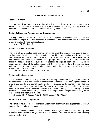# **ARTICLE VIII. DEPARTMENTS**

#### **Section 1. General.**

The city council may create or establish, abolish or consolidate, as many departments or offices as it may deem necessary for the best interest of the city. It may divide the administration of such departments or offices as it may deem advisable.

#### **Section 2. Rules and Regulations for Departments.**

The city council may establish such rules and regulations covering the conduct and performance, employment and discharge of personnel in the departments and may from time to time amend such rules and regulations.

*(Amd. 5), 05-10-2014*

#### **Section 3. Police Department.**

The city shall have a police department which will be under the general supervision of the city chief of police. The city council shall by ordinance provide for the number of police officers and their qualifications; shall fix their salaries and their terms of office; shall make provisions for their removal from office; shall provide for the giving of bonds for faithful performance of their duties in office; and shall make such other regulations as might be deemed necessary for the control and operation of the police department. Such officers shall have like powers, rights and authorities as are vested in city marshal under the provisions of V.T.C.A., Local Government Code, § 341.021

 *(Ord. No. 266, § 1(Amd. 11), 05-04-1996)*

#### **Section 4. Fire Department.**

The city council by ordinance may provide for a fire department consisting of paid firemen or volunteer firemen, or a combination of paid firemen and volunteer firemen. If paid firemen are to be employed, the city council shall provide by ordinance for the number of paid firemen, their pay, their term of office, provisions for removal of firemen and such other provisions as might be necessary for supervision and control of firemen. The city council shall by ordinance establish such other rules and regulations for a fire department as might be necessary for the proper control and operation of same.

 *(Ord. No. 214, § 1(Amd. 7), 03-14-1988); (Amd. 6) 05-07-2005*

#### **Section 5. Recreation Department.**

The city shall have the right to establish a recreation department and appropriate necessary funds for the operation of the same.

The city shall have the authority to enter into contracts or agreements with other municipalities or political subdivisions in carrying out a joint recreational program for the city and adjoining political subdivisions.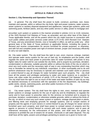# **ARTICLE IX. PUBLIC UTILITIES**

#### **Section 1. City Ownership and Operation Thereof.**

(a) In general. The city shall have the power to build, construct, purchase, own, lease, maintain and operate, within or without the city limits, light and power systems, water systems, sewer systems or sanitary disposal equipment and appliances, natural gas systems, parks and swimming pools, fertilizer plants, and any other public service or utility; power to mortgage and

encumber such system or systems in the manner provided in articles 1111 to 1118, inclusive, of the 1925 Revised Civil Statutes of Texas, as amended, and any other laws of the State of Texas applicable thereto; and all the powers which the city might exercise in connection with such public utilities and public services under article 1175 of the 1925 Revised Civil Statutes of Texas, and any amendment thereto, now or hereafter in effect, as well as under any other general laws of the State of Texas pertinent or applicable thereto, including the power to demand and receive compensation for service furnished for private purposes, or otherwise, and with full and complete power and right of eminent domain, proper and necessary efficiently to carry out said objects.

(b) City water system. The city shall have the right to own, erect, improve, enlarge, maintain and operate water works system for the use of said city, its inhabitants and the public; shall regulate the same and have power to prescribe rates for water furnished, with power to levy higher rates for water sold for use outside the city limits, and to acquire by purchase, donation, condemnation or otherwise, suitable grounds within or without the limits of the city on which to erect any such works and the necessary right of way in any outstanding franchise which may now or hereafter be owned by any individual, corporation, or other municipality and to do and perform whatsoever may be necessary to operate and maintain such water works or persons in control thereof to pay all charges for water furnished upon such property. The city shall have all the powers and privileges pertaining to water and water systems as is granted to home rule cities under the provisions of article 1175 of the Revised Civil Statutes of Texas. The city shall have the right to use so much of the water and water facilities of said city as may be deemed necessary in connection with the operation of the fire department, city buildings, public works, streets, swimming pools, and other public functions of the city.

*(Amd. 10), 05-10-2000*

(c) City sewer system. The city shall have the rights to own, erect, maintain and operate sewer systems or sewage systems for the use of said city and its inhabitants; to regulate the same and to have power to prescribe rates for the services so furnished and to acquire by purchase, donation, condemnation or otherwise suitable grounds, within or without the limits of the city, on which to erect any such sewer system or systems, sewage disposal plant or plants, and filtering beds and emptying grounds for sewage systems, and to compel owners of property and the agents of such owners in control thereof to pay all charges for sewer service furnished upon such property, and shall have power to compel owners of property and the agents or persons in control thereof to connect with such sewer systems, and to pass all ordinances necessary for the enforcement of this power, and shall have the power by ordinance to prohibit the use of sewers for oil waste, chemicals or salt water disposal. The city shall have all the rights, powers and privileges pertaining to sewers as is given to home rule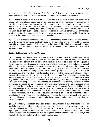cities under Article 1175, Revised Civil Statutes of Texas; the city may permit other municipalities to place connecting sewer lines through the city and to maintain them.

(d) Power to contract for public utilities. The city is authorized to enter into contracts of leases with individuals, corporations, partnerships, or other municipal corporations, for furnishing in whole or in part any public utility or portions of public utility systems that might be needed by the city or the citizens of the city. The consideration for such contracts or leases may in the discretion of the city council be paid by the city or prorated to the individual users of the utility covered by such contractor lease; or to permit individuals, corporations, partnerships or other municipal corporations to furnish in whole or in part any public utility direct to the citizens of the city on such terms as the city may direct.

(e) Right to purchase commodities or services essential to city or its citizens. The city shall have the power to purchase electricity, gas, oil, or any other article, commodity or service essential to a proper conduct of all the affairs of the city and of its inhabitants on such terms as the city council may deem proper, for sale and distribution to the inhabitants of the city or adjacent territory.

#### **Section 2. Regulation of Public Utilities.**

(a) The city council shall have the power by ordinance, after notice to the utility and hearing before the council, to fix and regulate the charges, fares or rates of compensation to be charged by any person, firm or corporation enjoying a franchise in the city, or engaged in furnishing a public utility service in the city, and shall in determining, fixing and regulating such charges, fares or rates of compensation, base the same upon the fair value of the property of such person, firm or corporation devoted to furnishing service to such city or the inhabitants thereof. The city council may prescribe the character, quality and efficiency of service to be rendered, and shall have the power to regulate and require the extension of adequate lines or service of such public utility within such city by such person, firm or corporation, taking into consideration the cost of the utility and from time to time may alter or change such rules, regulations, and compensation, provided that, in adopting such regulations and in fixing or changing such compensation or determining the reasonableness thereof, no stock or bonds authorized or issued by any corporation enjoying such franchise shall be considered unless on proof that the same have been actually issued by the corporation for money paid and used for the development of the corporate property, labor done or property actually received, in accordance with the laws and constitution of the state applicable thereto. In order to ascertain all facts necessary for a proper understanding of what is or should be reasonable rate or regulation, the city council shall have full power to inspect the books of any such utility serving the inhabitants of the city and compel production of records and the attendance of witnesses for such purpose.

(b) Any company, corporation or person engaged in furnishing to the inhabitants of the city any light, power, gas, telephone, transit or other public utility services, may be required at any time by ordinance or resolution of the city council to file with the city council sworn written reports pertaining to their operations and business within the city, and such report shall contain such data, facts and information as may be required by such ordinance or resolution, which shall also fix the time within which the report shall be filed.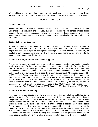(c) In addition to the foregoing powers the city shall have all the powers and privileges provided for by article 1175 of the Revised Civil Statutes of Texas in regulating public utilities.

#### **ARTICLE X. CONTRACTS**

#### **Section 1. General.**

All contracts that the city has at the time of the adoption of this charter shall remain in full force and effect. This provision shall include, but not be limited to, all bonded indebtedness, contracts for professional services, contracts for improvements, lease contracts, or any other agreement binding upon the City of West Orange, Texas immediately prior to the adoption of this charter.

#### **Section 2. Personal Services.**

No contract shall ever be made which binds the city for personal services, except for professional services, to be rendered for any stated period of time, but all appointive employees shall be subject to peremptory discharge, and when discharged shall only be entitled to compensation up to and including the date of their discharge, any provision to the contrary in this charter notwithstanding.

#### **Section 3. Goods, Materials, Services or Supplies.**

The city or any agent of the city acting for it shall not make any contract for goods, materials, services or supplies for the current use of any department of the municipality for more than one year, except as in this charter provided, unless said contract and the cost thereof have been included in the annual budget of the city and unless an appropriation has been made therefore, and no contracts or purchase shall exceed the amount appropriated. All contracts specified by V.C.T.A. Local Government Code, except for professional services, shall be made upon specifications, and should not be binding until signed by a designated representative of the city. In event of a cost overrun in any contract, or expenditures of an emergency nature, no such expenditure shall be made unless approved by a majority of the city council, in accordance with V.T.C.A., Local Government Code §§102.001 through 103.004 et seq.

*(Ord. No. 214, § 1(Amd. 6), 03-14-1988); (Amd. 11) 05-10-2000; (Amd. 6), 05-10-2014*

#### **Section 4. Competitive Bidding.**

After approval of specifications by the city council, advertisement shall be published in the official newspaper of the city at least once in each week for two consecutive weeks, inviting competitive bids for labor and material embraced in the proposed contract. All bids received shall be sealed and delivered to the city secretary. At the time and place announced in said notice, the bids shall be opened and no award shall be made except to one of such bidders. The city council shall determine the most advantageous bid for the city, and shall award the contract to such bidder, but the city council shall always have the right to reject any and all bids, and in the event all bids are rejected, may call for new bids which shall be advertised in like manner as the original bids. Pending advertisement of such proposed contracts, the specifications shall be on file in the office of the city secretary subject to the inspection of all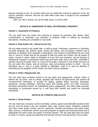persons desiring to bid. No contract shall ever be authorized except by approval of the city council; provided, however, that the city shall follow state laws in regard to the competitive bidding process.

 *(Ord. No. 266, § 1(Amd. 12), 05-04-1996; (Amd. 7), 05-07-2005* 

### **ARTICLE Xl. OWNERSHIP OF REAL OR PERSONAL PROPERTY**

#### **Section 1. Acquisition of Property.**

The city shall have the power and authority to acquire by purchase, gift, devise, deed, condemnation, or otherwise, any character of property, within or without its municipal boundaries, including any charitable or trust funds.

#### **Section 2. Real Estate, Etc., Owned by the City.**

All real estate owned in fee simple title, or held by lease, sufferance, easement or otherwise; all public buildings, fire stations, parks, streets and alleys, and all property, whether real or personal, of whatever kind, character or description, now owned or controlled by the city, shall vest in, inure to, remain and be the property of said city under this charter; and all causes of action, choses in action, rights or privileges of every kind and character, and all property of whatsoever character or description which may have been held, and is now held, controlled or used by said city for public uses, or in trust for the public, shall vest in and remain and inure to the city under this charter, and all contracts, suits and pending actions to which the city heretofore was or now is a party, plaintiff or defendant, shall in no wise be affected or terminated by the adoption of this charter, but shall continue unabated.

#### **Section 3. Parks, Playgrounds, Etc**.

The city shall have exclusive control of all city parks and playgrounds, whether within or without the city limits, and to control, regulate and remove all obstructions and prevent all encroachments thereupon; to provide for raising, grading, filling, terracing, landscape, gardening, erecting buildings, swimming pools and wading pools, and other structures, providing amusement therein, for establishing parks, playgrounds, and other public grounds, speedways or boulevards owned by it, and lying both outside and inside the municipal boundaries.

#### **ARTICLE XII. STREETS AND ALLEYS**

#### **Section 1. Street Powers.**

The city shall have exclusive control of all alleys, streets, gutters and sidewalks situated within the city, and the power to lay out, establish, open, alter, extend, widen, straighten, abandon and close, lower, grade, narrow, care for, supervise, maintain and improve any public street, alley, avenue, or boulevard, and for any such purposes to acquire the necessary lands and to appropriate the same under the power of eminent domain. The city shall also have the power to name or rename, vacate and abandon and sell and convey in fee that portion of any street,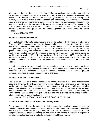alley, avenue, boulevard or other public thoroughfare or public grounds, and to convey in fee the same in exchange for other lands, over which any street, alley, avenue or boulevard may be laid out, established and opened; and the city's right to sell and dispose of in fee any part of a street, alley, avenue or boulevard so vacated and abandoned, or the city's right to convey same in exchange for other lands to be used in laying out, opening, widening and straightening any street, shall never be questioned in any of the courts of this state. The procedure for closing streets and alleys shall be in conformity with due process of law and shall be particularly prescribed and provided for by ordinance passed in the usual manner by the city council.

*(Amd. 13) 05-10-2000*

# **Section 2. Street Improvements.**

(a) Articles 1086 to 1105, both inclusive, and article 1105b of the Revised Civil Statutes of Texas of 1925, as amended, are hereby adopted, and the city shall have the power to improve any street or highway within its limits by filling, grading, raising, paving or repaving the same in a permanent manner, or by the construction or reconstruction of sidewalks, curbs and gutters or necessary appurtenances thereto, including sewers and drains. In the event there shall be any conflict between the method of improving streets and other public places as provided for by article 1105b or by the provisions of articles 1086 to 1105, inclusive, of the Revised Civil Statutes of Texas of 1925, as amended, and in the provisions of this charter, the city council may elect to follow either the provisions of this charter or the provisions of said statutes.

(b) All contracts, assessments and other proceedings heretofore taken under previously existing powers of the city shall continue in full force and effect, and the rights of all parties in connection with the collection of street improvement assessments of liens on property previously made are to be in no wise affected or changed.

#### **Section 3. Regulation of Vehicles.**

The city council shall have all the authority given by the provisions of the Texas Transportation Code and the power by ordinance to control the operations of all character of vehicles using public streets, including motorcycles, motor-scooters, all-terrain vehicles, bicycles, automobiles, taxicabs, trucks, trailers, tractors, buses, house moving dollies or like vehicles; and to prescribe the speed of the same, the qualifications of the operators of the same, the routing of the same, and the lighting of same by night; and to provide for the giving of bond or other security for the operation of same.

*(Ord. No. 266, § 1(Amd. 13), 05-04-1996); (Amd. 14) 05-10-2000*

# **Section 4. Established Speed Zones and Parking Areas.**

The city council shall have the authority to limit the speed of vehicles in school zones, near churches, hospitals, and dangerous corners, and such other places as it may deem advisable, and to limit or prohibit the parking of vehicles near schools, churches, businesses or other congested areas, or where the limiting or restricting of the parking of vehicles is required in providing the safe movement of traffic for the protection of life or property.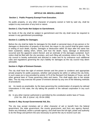# **ARTICLE XIII. MISCELLANEOUS**

#### **Section 1. Public Property Exempt From Execution.**

No public property, or any other character of property owned or held by said city, shall be subject to any execution of any kind or nature.

#### **Section 2. City Funds Not Subject to Garnishment.**

No funds of the city shall be subject to garnishment and the city shall never be required to answer in any garnishment proceedings.

#### **Section 3. Liability for Damages.**

Before the city shall be liable for damages for the death or personal injury of any person or for damages or destruction of property of any kind, the mayor or city council shall be given notice in writing of such death, injuries, damages or destruction within 30 days after the same has been sustained, stating when, where, and how the death, injury, damage or destruction occurred and the apparent extent thereof, and an estimate of the damages sustained. Such notice shall be filed with the city secretary, and such filing will constitute notice to the city. The city council is hereby authorized and directed to make and fix by ordinance such additional rules and regulations governing the city's liability for damages as the city council may deem advisable.

#### **Section 4. Right of Eminent Domain.**

The city shall have the right of eminent domain and the power to condemn and appropriate private property for public purposes, whether said property be within or without the city limits, in such cases as is now provided by article 1175 of the Revised Civil Statutes of Texas, and all other general laws of Texas governing cities and towns. This shall apply also to fee simple titles. The city may exercise the power of eminent domain by any one of the following methods of procedures:

(a) As nearly as practicable, by the laws governing the condemnation of property by railroad corporations in this state, the city taking the position of the railroad corporation in any such case;

(b) In any other manner authorized or permitted by the constitution and/or laws of Texas. *(Ord. No. 266, § 1(Amd. 14), 05-04-1996)*

#### **Section 5. May Accept Governmental Aid, Etc.**

The city may accept monetary aid or other character of aid or benefit from the federal government, the state government, the county government, and from any agency thereof, and/or any individual, and/or a private agency; and shall have the full right, power and authority to do the things and perform the acts necessary to permit the city to receive such aid.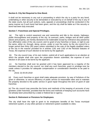### **Section 6. City Not Required to Give Bond.**

It shall not be necessary in any suit or proceeding in which the city is a party for any bond, undertaking or other security to be demanded or executed by or on behalf of the city in any of the state courts, but all such actions, suits, appeals or proceedings shall be conducted in the same manner as if such bond had been given, and the city shall be liable as if the security or bond had been duly executed.

### **Section 7. Franchises and Special Privileges.**

(a) The right to control easement use and ownership and title to the streets, highways, public thoroughfares and property of the city, its avenues, parks, bridges and all other public places and property, are hereby declared to be inalienable except by ordinance duly passed by four affirmative votes of the city council, and no grant of any franchise or lease, or right to use the same, either on, through, along, across, under or over the same, by the city council for a longer period than thirty (30) years unless submitted to the vote of the legally qualified voters of the city in the manner provided for in articles 1181 and 1182 of the Revised Statutes of Texas, the expense of such election to be borne by the applicant.

(b) The city council may, of its own motion, submit all of such applications to an election at which the people shall vote upon the proposition therein submitted, the expense of such election in all cases to be borne by the applicant.

(c) No franchise shall ever be granted until it has been approved by a majority of the members elected to the city council, nor shall any such franchise, grant or privilege ever be made unless it provides for adequate compensation or consideration therefore to be paid to the city.

#### *(Amd. D) 05-05-2018*

(d) Every such franchise or grant shall make adequate provision, by way of forfeiture of the grant or otherwise, to secure efficiency of public service at reasonable rates and to maintain the property devoted to the public service in good repair throughout the term of grant of said franchise.

(e) The city council may prescribe the forms and methods of the keeping of accounts of any grantees under franchise, provided that the forms and methods of keeping such accounts have not already been prescribed by a state or federal law or agency.

#### **Section 8. Retirement or Pensions for Employees.**

The city shall have the right to grant to its employees benefits of the Texas municipal retirement system, or any other pension or retirement system available to cities.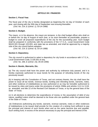# **ARTICLE XIV. FINANCES**

#### **Section 1. Fiscal Year.**

The fiscal year of the city is hereby designated as beginning the 1st day of October of each year, and closing with the 30th day of September next ensuing thereafter.

 *(Ord. No. 214, § 1(Amd. 1), 03-14-1988)*

#### **Section 2. Budget.**

The mayor, or in his absence, the mayor pro tempore, is the chief budget officer who shall on or before the 1st day of August of each year, or as soon thereafter as practicable, prepare a budget to cover all proposed expenditures of the city for the succeeding year. Such budget shall be prepared in conformity with the provisions of the V.T.C.A., Local Government Code §§102.001 through 103.003, and state law as amended, and shall be approved by a majority vote of the city council before adoption.

*(Ord. No. 214, § 1(Amd. 4), 03-14-1988)*

#### **Section 3. Depository.**

The city council is authorized to select a depository for city funds in accordance with V.T.C.A., Local Government Code, § 105.001 et seq.

*(Ord. No. 266, § 1(Amd. 15), 05-04-1996)*

#### **Section 4. Bonds, Warrants, Etc.**

(a) The city council shall have the power and authority by ordinance duly passed, and it is hereby expressly authorized to issue bonds for the purpose of refunding bonds of the city previously issued.

(b) In keeping with the Constitution of Texas, and not contrary thereto, the city shall have the power to issue all tax bonds, revenue bonds, funding and refunding bonds, warrants, notes, and other evidence of indebtedness as now authorized or as may be hereafter authorized to be issued by cities and towns under the provisions of article 2368a and articles 1111 to 1118, as amended, and title 22 of the Revised Civil Statutes of Texas, or by the general laws of the State of Texas.

(c) In all elections to determine the expenditures of money or the assumption of debt of any nature, qualified voters shall be deemed to be those who are qualified under the general laws of the State of Texas.

(d) Ordinances authorizing any bonds, warrants, revenue warrants, notes or other evidences of indebtedness to be issued shall provide for the creation of a sinking fund sufficient to pay the principal and interest of such bonds when and as the same become due and payable. Such sinking fund, in excess of the amount necessary to pay the principal and interest of the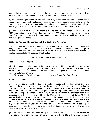bonds when and as the same become due and payable, may each year be invested, as provided for by articles 836 and 837 of the Revised Civil Statutes of Texas.

(e) Any officer or agent of the city who shall unlawfully or knowingly divert or use said funds or cause or permit same to be delivered or used for any other purpose except that for which the fund is created or herein expressly authorized to be invested shall be deemed guilty of a felony and subject to prosecution as provided under the general laws of the State of Texas.

(f) What is known as "bond and warrant law." The same being Vernon's Ann. Civ. St. art. 2368a, and being the acts of 1931 Legislatures, page 269, chapter 163, and all amendments thereafter made or that may be hereafter made, which are applicable to cities and towns, are hereby adopted by the city.

#### **Section 5. Audit and Examination of City Books and Accounts.**

The city council may cause an annual audit to be made of the books of accounts of each and every department of the city. Such audit shall be made by certified public accountants or public accountant who shall be selected by the city council. Such auditors' report to the city council shall be accessible to the public or for publication.

# **ARTICLE XV. TAXES AND TAXATION**

# **Section 1. Taxable Properties.**

All real, personal and mixed property held, owned or situated in the city, which is not exempt by the constitution or general laws of the State of Texas, shall be liable for all taxes due by the owner thereof, including taxes on real estate, franchise, gross receipts of public utilities, personal and mixed property.

 **Editor's note—**Taxable property is described in V.T.C.A., Tax Code § 11.01 et seq.

#### **Section 2. Tax Levies.**

(a) The city council shall have the power and it is hereby authorized and made its duty to levy annually for general purposes and for the purpose of paying interest and providing the sinking fund on the bonded indebtedness of the city now in existence or which may hereafter be created an ad valorem tax on all real, personal or mixed property within the territorial limits of said city and upon all franchises granted by the city to any individuals or corporations of not exceeding a total of one dollar and fifty cents (\$1.50) on the one hundred dollars (\$100.00) assessed valuation of said property. If for any cause the city council shall fail, neglect or refuse to pass a tax ordinance for any one year, levying taxes for that year, then, and in that event, the tax levying ordinance last passed shall and will be considered in force and effect as the tax levying ordinance for the year for which the city council failed, neglected or refused to pass such ordinance, and the failure so to pass such ordinance for any year shall in no wise invalidate the tax collections for that year.

(b) The city council may determine and provide when taxes shall be due and payable by corporations and all persons owning property. It shall have the right to fix the time and terms of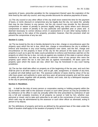payments of taxes, prescribe penalties for the nonpayment thereof upon the expiration of the time fixed by the said city council, and may provide discounts for advance payments of taxes.

(c) The city council or any other officer of the city shall never extend the time for the payment of taxes, or remit, discount or compromise any tax legally due the city, nor waive the penalty that may be due thereon to any person, but the city council may provide for the discount, compromise or waiver of penalty to persons legally owing any taxes where such discount, compromise or waiver of penalty is for any particular and specified year or years and is deemed necessary to correct obvious errors in assessment or to join other taxing bodies in adjusting taxes to the value of the property; provided, however, that this provision shall not prevent the compromise of any tax suit.

# **Section 3. Liens.**

(a) The tax levied by the city is hereby declared to be a lien, charge or encumbrance upon the property upon which the tax is due, which lien, charge or encumbrance the city is entitled to enforce and foreclose in any court having jurisdiction over same, and the lien, charge and encumbrance on the property in favor of the city for the amount of the taxes due on such property is such as to give the state courts jurisdiction to enforce and foreclose said lien on the property on which the tax is due, not only as against any resident of this state or person whose residence is unknown, but also as against the unknown heirs of any person who owns the property upon which the tax is due and also as against nonresidents. All taxes upon the property upon which the taxes are due, which lien may be foreclosed in any court having jurisdiction.

(b) The tax lien shall take effect on property as of the beginning of the tax year, and such lien shall be prior to all other claims or liens, and no gift, sale, assignment, or transfer of any kind, or judicial writ shall defeat such lien. The assessor-collector of taxes shall by virtue of his tax rolls have power and authority to seize and levy upon all personal property and sell the same to satisfy all taxes, together with all penalty, interest, and costs, due by a delinquent taxpayer to the city on personal property.

#### **Section 4. Rendition.**

(a) It shall be the duty of every person or corporation owning or holding property within the city to render under oath to the assessor of taxes or such other person as may be provided for by ordinance at his office in said city annually within the time prescribed by ordinance of said city a full and complete inventory of all property so owned or held by him, whether real, personal or mixed, and to take and subscribe to an oath to the correctness of such inventory, which oath may be administered by the assessor or such other officer as aforesaid, acting in person or by deputy.

(b) The definitions of property and terms as defined by the general laws of the state under the head of taxation shall apply to the taxation of property in this city.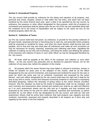#### **Section 5. Unrendered Property.**

The city council shall provide by ordinance for the listing and valuation of all property, real, personal and mixed, situated, owned or held within the city limits, and which has not been rendered by the owner thereof each year, upon a date to be specified by the city council, by ordinance, the assessor or other officer designated for that purpose, which list of property so unrendered and assessed shall be placed upon the tax roll of the city and submitted along with the rendered roll to the board of equalization and be subject to the same tax levy as the rendered property within the city.

#### **Section 6. Collection of Taxes.**

(a) The city council shall have full power, by ordinance, to provide for the prompt collection of all taxes levied, assessed and due or becoming due to said city, and prescribe where property shall be assessed or rendered for taxes, and when the taxes thereon shall become due and payable, and to that end may and shall pass all ordinances and make all such provisions as may be necessary for levying, imposing, assessing and collecting said taxes, regulating the methods of making out tax lists and inventories, and fixing the duties and defining the powers of the assessor and collector of taxes or such other officer as may be designated therefore by the city council.

(b) All taxes shall be payable at the office of the assessor and collector or such other offices as the city council may prescribe and no demand for payment thereof, nor for the collection of any taxes due, before the adoption of the charter.

(c) All property which the owner thereof may have failed or refused to inventory, assess or render for taxation for years prior to the adoption of this charter, shall be by the officer designated by the city council inventoried, and assessed and rendered for taxes for the year or years for which the same was not so rendered, inventoried and assessed by the owner thereof, and such officer designated by the city council shall have the right and it shall be his duty at any time to revise, correct and reassess incorrectly rendered or assessed or improperly described [property], without the necessity of giving notice to the owner thereof; provided, however, that the valuation as fixed by the board of equalization shall not be changed, and such inventory and assessment when revised and worked over shall be as valid and effective as if on such assessment sheets and tax rolls and as if regularly and duly rendered and assessed by the owner for the year for which rendered, assessed and inventoried, as above provided for, by the officer of the city designated by the city council, and said tax rolls and assessment sheets shall be prima facie evidence that said property was regularly and duly rendered, inventoried, assessed and properly described in all respects as if done duly and regularly by the owner in the first instance.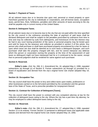#### **Section 7. Payment of Taxes.**

All ad valorem taxes due or to become due upon real, personal or mixed property or upon franchises granted by the city to individuals or corporations, and all license taxes, occupation taxes, permit fees, fines, forfeitures, penalties and other amounts of taxes accruing to the city shall be payable only in current money of the United States.

#### **Section 8. Delinquent Taxes.**

All ad valorem taxes due or to become due to the city that are not paid within the time specified by the city council in the ordinance providing the date of payment of said taxes shall be declared delinquent and shall be subject to the penalties prescribed by ordinance from time to time and may be collected by suits from delinquents, and foreclosure of the lien thereon may be had in any court having jurisdiction of the same or personal property may be levied upon and sold for taxes by the assessor and collector as provided in section 3 of this article. Any person who shall purchase or shall have purchased property encumbered by a lien for taxes or upon which taxes are due shall be deemed as to such taxes a delinquent taxpayer, and such purchaser shall take the property charged with lien, and he cannot interpose any defense which the person or corporation owning the property at the time of the assessment of said taxes so delinquent might not have interposed had he or it continued to be the owner, except that no personal judgment shall be rendered for same against such purchaser.

#### **Section 9. Reserved.**

 **Editor's note**—Ord. No. 266, § 1, Amendment No. 16, adopted May 4, 1996, repealed subsections (a) through (c) of Section 9. Former subsections (a) through (c) provided for a board of equalization and derived from the city's original home rule charter adopted May 19, 1956.

#### **Section 10. Occupation Tax.**

The city council shall have the power to levy and collect taxes upon trades, professions or other businesses carried on to the full extent permitted by the constitution and the general laws of the State of Texas, and to prescribe penalties for nonpayment thereof.

#### **Section 11. Contract for Collection of Delinquent [Taxes].**

The city council shall have the power to contract with any competent attorney at law for the collection of delinquent taxes owing to the city. Where the city has a part time city attorney, he may be employed to collect delinquent taxes owing to the city.

#### **Section 12. Reserved.**

 **Editor's note**—Ord. No. 266, § 1, Amendment No. 17, adopted May 4, 1996, repealed Section 12 in its entirety. Former Section 12 pertained to delinquent taxes and applicable state statutes and derived from the original home rule charter adopted May 19, 1956.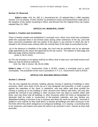#### **Section 13. Reserved.**

 **Editor's note**—Ord. No. 266, § 1, Amendment No. 18, adopted May 4, 1996, repealed Section 13 in its entirety. Former Section 13 pertained to taxes and assessments made prior to the adoption of the charter remaining in effect, and derived from the original home rule charter adopted May 19, 1996.

#### **ARTICLE XVI. MUNICIPAL COURT**

#### **Section 1. Creation and Jurisdiction.**

There is hereby created and established a municipal court, which court shall have jurisdiction within the corporate limits in all criminal cases arising under ordinances of the city, and shall have concurrent jurisdiction with any justice of the peace in any precinct in which the city is situated in all criminal cases arising under the criminal laws of this state as prescribed by law.

(a) In the absence or disability of the judge, the court may be presided over by an alternate judge appointed by the mayor and approved by the city council. The salaries of said judge and alternate judge shall be fixed by ordinance.

(Amd. 6; 05-07-2022)

(b) The city secretary or his deputy shall be ex-officio clerk of said court, and shall receive such salary as may be fixed by ordinance.

(Ord. No. 266, § 1(Amd. 19), 05-04-1996)

**Editor's note**—V.T.C.A., Government Code § 29.002, creates a municipal court in each municipality. The jurisdiction of the court is provided in V.T.C.A., Government Code § 29.003.

#### **ARTICLE XVII. BUILDING REGULATIONS**

#### **Section 1. General.**

The city may regulate the erection, building, placing, moving or repairing of buildings or other structures, within such limits of the city as it may designate and prescribe, in order to guard against the calamities of fire, flood, or windstorm, and may within said limits prohibit the moving or putting up of any building or other structure from without said limits, and may also prohibit the removal of any building or other structure from one place to another within said limits, and may direct that all buildings or other structures within the limits so designated as aforesaid shall be made or constructed of fire-resistant materials, and may declare any dilapidated building or structure to be a nuisance and direct the same be repaired, removed or abated in such manner as they shall direct; to declare all buildings and other structures in the fire limits which they deem dangerous to contiguous buildings, or in causing or promoting fires to be nuisances, and require and cause the same to be removed in such manner as they shall prescribe.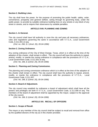#### **Section 2. Building Lines.**

The city shall have the power, for the purpose of promoting the public health, safety, order, convenience, prosperity and general welfare, acting through its governing body, under the public power, to provide by suitable ordinance building lines on any streets or any block of any street or streets, and to require their observance by suitable penalties.

### **ARTICLE XVIII. PLANNING AND ZONING**

#### **Section 1. In General.**

The city council shall have full authority to zone the city and pass all necessary ordinances, rules and regulations governing the same in accordance with V.T.C.A., Local Government Code, § 211.001 et seq.

 *(Ord. no. 266, § 1 (Amd. 20), 05-04-1996)*

# **Section 2. Zoning Ordinance.**

Any zoning ordinance of the City of West Orange, Texas, which is in effect at the time of the adoption of this charter, shall remain in effect. The city council will have the authority to repeal, amend, modify, or rewrite the zoning ordinance in compliance with the provisions of V.T.C.A., Local Government Code, § 211.001 et seq.

*(Ord. No. 266, § 1(Amd. 20), 05-04-1996)*

#### **Section 3. Planning and Zoning Commission.**

The planning and zoning commission ordinance which is in effect at the time of the adoption of this charter shall remain in effect. The city council shall have the authority to repeal, amend, modify, or rewrite the ordinance in compliance with the provisions of V.T.C.A., Local Government Code, § 211.007.

*(Ord. No. 266, § 1(Amd. 20), 05-04-1996)*

#### **Section 4. Board of Adjustment.**

The city council may establish by ordinance a board of adjustment which shall have all the powers and privileges set forth in V.T.C.A., Local Government Code, § 211.008 et seq. The members of the board of adjustment shall be appointed by the mayor, subject to the approval of the city council.

 *(Ord. No. 266, § 1(Amd. 20), 05-04-1996)*

# **ARTICLE XIX. RECALL OF OFFICERS**

#### **Section 1. Scope of Recall.**

The mayor or any member of the city council shall be subject to recall and removal from office by the qualified electors of the city as in this charter provided.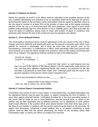# **Section 2. Petitions for Recall.**

Before the question of recall of such officer shall be submitted to the qualified electors of the city, a petition demanding such question to be so submitted shall first be filed with the person performing the duties of city secretary; which said petition shall be signed by qualified voters of the city equal in number to at least 20% of the number of votes cast at the regular municipal election of the city, but in no event less than 300 such petitioners. Each signer of such recall petition shall personally sign his name thereto in ink or indelible pencil, and shall write after his name his place of residence, giving name of street and number of place or residence, and shall also write thereon the day of the month and year his signature was affixed.

# **Section 3. Form of Recall Petition.**

The recall petition mentioned above must be addressed to the city council of the City of West Orange, and must distinctly and specifically point out the ground or grounds upon which such petition for removal is predicated, and if there be more than one ground, such as for incompetency, misconduct, or malfeasance in office, shall specifically state each ground with such certainty as to give the officer sought to be removed, notice of the matters and things with which he is charged. The signatures shall be verified by oath in the following form:

 STATE OF TEXAS ) COUNTY OF ORANGE )

 "I, \_\_\_\_\_\_\_\_\_\_\_\_\_\_\_\_\_\_\_\_, being first duly sworn, on oath depose and say that I am one of the signers of the above petition; that the statements made therein are true, and that each signature appearing thereto was made in my presence on the day and date is [it] purports to have been made, and I solemnly swear that the same is the genuine signature of the person whose name it purports to be.

"Sworn and subscribed to before me this \_\_\_\_\_\_\_\_\_\_ day of \_\_\_\_\_\_\_\_\_\_\_, \_\_\_\_\_.

 Notary Public in the State of Texas." *(Ord. No. 266, § 1(Amd. 21), 05-04-1996)*

# **Section 4. Various Papers Constituting Petition.**

The petition may consist of one or more copies, or subscription lists, circulated separately, and the signatures thereto may be upon the paper, or papers containing the form of petition, or upon other papers attached thereto. Verification provided for in the next preceding section of this article may be made by one or more petitioners, and the several parts, or copies of the petition may be filed separately and by different persons; but no signatures to such petition shall remain effective or be counted which were placed thereon more than thirty days prior to the filing of such petition or petitions with the person performing the duties of city secretary. All papers and documents comprising a single petition, that is, all papers comprising a recall petition, shall be filed with the person performing the duties of city secretary [who] shall immediately notify, in writing, the officer so sought to be removed.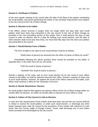#### **Section 5. Certificate to Petition.**

At the next regular meeting of the council after the date of the filing of the papers constituting the recall petition, the person performing the duties of city secretary shall present such petition to the city council of the City of West Orange.

#### **Section 6. Election to be Called.**

If the officer, whose removal is sought, does not resign within five days after such recall petition shall have been duly presented to the city council of the City of West Orange as provided in the next preceding section of this article, then it shall become the duty of said council to order an election and fix a date for holding such recall election; and the date of which election shall not be less than thirty, nor more than fifty days from the time such petition was presented to the council.

#### **Section 7. Recall Election Form of Ballot.**

The form of ballot to be used at such recall election shall be as follows:

"Shall (name of person) be removed from the office of (name of office) by recall?"

Immediately following the above question there should be provided on the ballot, in separate lines, in the order here set out, the words:

"FOR the recall of (name of person)."

"AGAINST the recall of (name of person)."

Should a majority of the votes cast at such recall election be for the recall of such officer named on the ballot, he shall be deemed removed from office. Should a majority of votes cast at such recall election, however, be against the recall of the officer named on the ballot, such officer shall continue in office for the remainder of his term.

#### **Section 8. Recall, Restrictions Thereon.**

No recall petition shall be filed against any elective officer of the City of West Orange within six months after his election, nor within six months after an election for such officer's recall.

#### **Section 9. Failure of City Council to Call an Election.**

In case all of the requirements of this charter shall have been met and the city council shall fail or refuse to receive the recall petition, or order such recall election, or discharge any other duties imposed upon said city council by the provisions of this charter with reference to such recall, then the County Judge of Orange County, Texas, shall discharge any of such duties herein provided to be discharged by the city council.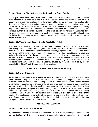#### **Section 10. One or More Officers May Be Recalled at Same Election.**

The mayor and/or one or more aldermen may be recalled at the same election; and, if in such recall election there shall as a result of such election, remain the mayor or one or more aldermen who are not recalled, then the mayor, alderman or aldermen not recalled shall discharge all of the duties incumbent upon the governing body of said city until the vacancy or vacancies created at such recall elections are filled by an election for that purpose; but if in any proposed recall election it is proposed and submitted to recall all the members constituting said city council, then there shall be submitted in the recall petition the names of candidates to fill the vacancies proposed to be created by such election and their names shall be placed upon the ballot; but the name of such officers proposed to be recalled shall not appear on the ballots as candidates.

#### **Section 11. Vacancies in Council Due to Recall, How Filled.**

If at any recall election it is not proposed and submitted to recall all of the members constituting said city council, but only [one] or more and fewer than all, and such election shall result in favor of the recall of one or more of said officer(s) proposed to be recalled, then it shall be the duty of the remaining member or members not recalled and constituting the governing body of the city, within five days after such an election is held, to meet, canvass the returns, declare the result of the election, and on the same date order an election to fill such vacancy or vacancies; which election shall be held within not less than 30 days or more than 60 days after the same shall have been ordered. No vacancy caused by recall shall be filled by the city council of the City of West Orange, but only by election.

#### **ARTICLE XX. [EFFECT OF POWERS GRANTED]**

#### **Section 1. Saving Clause, Etc**.

All powers granted heretofore to cities are hereby preserved. In case of any irreconcilable conflict between the provisions of this charter and any superior law, the powers of the city and its officers shall be as defined in such superior laws. In case of any insufficiency or omission [which] may be supplied by reference to the general laws, such provisions of the general laws are hereby adopted, and the city shall have and exercise all of the powers that it could have acquired by expressly adopting and incorporating into this charter all of the provisions of such superior and general laws, it being the intent of this charter that no lawful power of the city shall fall because of any omission, insufficiency or invalidity of any portion or portions of this charter. The insufficiency or invalidity of any portion or portions of this charter shall not in any wise affect the remainder of the charter, but the same shall be construed as if adopted without such portion and/or portions so found invalid or impotent.

# **ARTICLE XXI. [ELECTION]**

#### **Section 1. Vote on Proposed Charter.**

(a) This charter shall be submitted to the qualified voters of the city for adoption or rejection on May 19, 1956, at which election, if a majority of the qualified voters voting in such election shall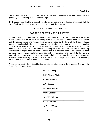Art. XXI. § 1(a)

vote in favor of the adoption of this charter, it shall then immediately become the charter and governing law of the city until amended or repealed.

(b) It being impracticable to submit this charter by sections, it is hereby prescribed that the form of ballot to be used in such election shall be as follows, to-wit:

#### FOR THE ADOPTION OF THE CHARTER

#### AGAINST THE ADOPTION OF THE CHARTER

(c) The present city council of the city shall call an election in accordance with the provisions of the general laws of the state governing such elections, and the same shall be conducted and the returns made and results declared as provided by the laws of the State of Texas governing municipal elections, and in case a majority of the votes cast at such election shall be in favor of the adoption of such charter, then an official order shall be entered upon the records of said city by the city council, declaring the same adopted, and the city secretary shall record at length upon the records of the city, in a separate book to be kept in his office for such purpose, such charter as adopted, and such secretary shall furnish to the mayor a copy of the charter, which copy of the charter shall be forwarded by the mayor as soon as practical to the secretary of state under the seal of the city, together with a certificate showing the approval of the qualified votes of such charter.

We do hereby certify that this publication constitutes a true copy of the proposed Charter of the City of West Orange, Texas.

*/s/ O.M. Dickey*

| /S/ O.M. DICKEY        |
|------------------------|
| 0. M. Dickey, Chairman |
| /s/ J.W. Dubose        |
| J.W. Dubose            |
| /s/ Ophie Sonnier      |
| <b>Ophie Sonnier</b>   |
| /s/W.H. Williams       |
| W. H. Williams         |
| /s/ T.V. Kirkland      |
| T.V. Kirkland          |